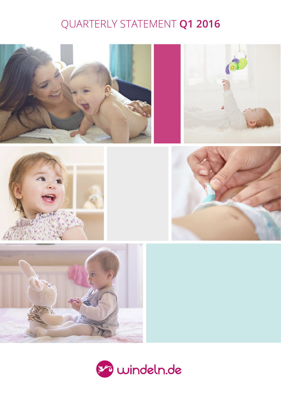# QUARTERLY STATEMENT **Q1 2016**









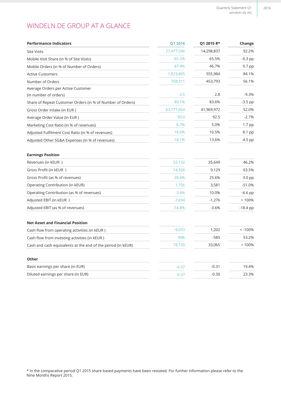# WINDELN.DE GROUP AT A GLANCE

| <b>Performance Indicators</b>                                | Q1 2016    | Q1 2015 R* | Change     |
|--------------------------------------------------------------|------------|------------|------------|
| <b>Site Visits</b>                                           | 27,477,596 | 14,298,837 | 92.2%      |
| Mobile Visit Share (in % of Site Visits)                     | 65.2%      | 65.5%      | $-0.3$ pp  |
| Mobile Orders (in % of Number of Orders)                     | 47.4%      | 46.7%      | 0.7 pp     |
| <b>Active Customers</b>                                      | 1,023,405  | 555,984    | 84.1%      |
| Number of Orders                                             | 708,311    | 453,793    | 56.1%      |
| Average Orders per Active Customer                           |            |            |            |
| (in number of orders)                                        | 2.5        | 2.8        | $-9.3%$    |
| Share of Repeat Customer Orders (in % of Number of Orders)   | 80.1%      | 83.6%      | $-3.5$ pp  |
| Gross Order Intake (in EUR)                                  | 63,777,654 | 41,969,972 | 52.0%      |
| Average Order Value (in EUR)                                 | 90.0       | 92.5       | $-2.7%$    |
| Marketing Cost Ratio (in % of revenues)                      | 6.7%       | 5.0%       | 1.7 pp     |
| Adjusted Fulfilment Cost Ratio (in % of revenues)            | 18.6%      | 10.5%      | 8.1 pp     |
| Adjusted Other SG&A Expenses (in % of revenues)              | 18.1%      | 13.6%      | 4.5 pp     |
| <b>Earnings Position</b><br>Revenues (in kEUR)               | 52,132     | 35,649     | 46.2%      |
|                                                              |            |            |            |
| Gross Profit (in kEUR)                                       | 14,926     | 9,129      | 63.5%      |
| Gross Profit (as % of revenues)                              | 28.6%      | 25.6%      | 3.0 pp     |
| Operating Contribution (in kEUR)                             | 1,756      | 3,581      | $-51.0%$   |
| Operating Contribution (as % of revenues)                    | 3.4%       | 10.0%      | $-6.6$ pp  |
| Adjusted EBIT (in kEUR )                                     | $-7,694$   | $-1,276$   | >100%      |
| Adjusted EBIT (as % of revenues)                             | $-14.8%$   | $-3.6%$    | $-18.4$ pp |
| <b>Net Asset and Financial Position</b>                      |            |            |            |
| Cash flow from operating activities (in kEUR)                | $-9,033$   | 1,202      | $< -100%$  |
| Cash flow from investing activities (in kEUR)                | $-896$     | $-585$     | 53.2%      |
| Cash and cash equivalents at the end of the period (in kEUR) | 78,730     | 33,065     | >100%      |
| Other                                                        |            |            |            |
| Basic earnings per share (in EUR)                            | $-0.37$    | $-0.31$    | 19.4%      |
| Diluted earnings per share (in EUR)                          | $-0.37$    | $-0.30$    | 23.3%      |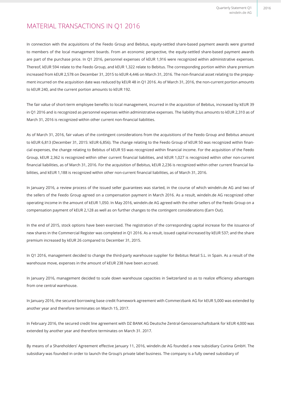### MATERIAL TRANSACTIONS IN Q1 2016

In connection with the acquisitions of the Feedo Group and Bebitus, equity-settled share-based payment awards were granted to members of the local management boards. From an economic perspective, the equity-settled share-based payment awards are part of the purchase price. In Q1 2016, personnel expenses of kEUR 1,916 were recognized within administrative expenses. Thereof, kEUR 594 relate to the Feedo Group, and kEUR 1,322 relate to Bebitus. The corresponding portion within share premium increased from kEUR 2,578 on December 31, 2015 to kEUR 4,446 on March 31, 2016. The non-financial asset relating to the prepayment incurred on the acquisition date was reduced by kEUR 48 in Q1 2016. As of March 31, 2016, the non-current portion amounts to kEUR 240, and the current portion amounts to kEUR 192.

The fair value of short-term employee benefits to local management, incurred in the acquisition of Bebitus, increased by kEUR 39 in Q1 2016 and is recognized as personnel expenses within administrative expenses. The liability thus amounts to kEUR 2,310 as of March 31, 2016 is recognized within other current non-financial liabilities.

As of March 31, 2016, fair values of the contingent considerations from the acquisitions of the Feedo Group and Bebitus amount to kEUR 6,813 (December 31, 2015: kEUR 6,856). The change relating to the Feedo Group of kEUR 50 was recognized within financial expenses, the change relating to Bebitus of kEUR 93 was recognized within financial income. For the acquisition of the Feedo Group, kEUR 2,362 is recognized within other current financial liabilities, and kEUR 1,027 is recognized within other non-current financial liabilities, as of March 31, 2016. For the acquisition of Bebitus, kEUR 2,236 is recognized within other current financial liabilities, and kEUR 1,188 is recognized within other non-current financial liabilities, as of March 31, 2016.

In January 2016, a review process of the issued seller guarantees was started, in the course of which windeln.de AG and two of the sellers of the Feedo Group agreed on a compensation payment in March 2016. As a result, windeln.de AG recognized other operating income in the amount of kEUR 1,050. In May 2016, windeln.de AG agreed with the other sellers of the Feedo Group on a compensation payment of kEUR 2,128 as well as on further changes to the contingent considerations (Earn Out).

In the end of 2015, stock options have been exercised. The registration of the corresponding capital increase for the issuance of new shares in the Commercial Register was completed in Q1 2016. As a result, issued capital increased by kEUR 537; and the share premium increased by kEUR 26 compared to December 31, 2015.

In Q1 2016, management decided to change the third-party warehouse supplier for Bebitus Retail S.L. in Spain. As a result of the warehouse move, expenses in the amount of kEUR 238 have been accrued.

In January 2016, management decided to scale down warehouse capacities in Switzerland so as to realize efficiency advantages from one central warehouse.

In January 2016, the secured borrowing base credit framework agreement with Commerzbank AG for kEUR 5,000 was extended by another year and therefore terminates on March 15, 2017.

In February 2016, the secured credit line agreement with DZ BANK AG Deutsche Zentral-Genossenschaftsbank for kEUR 4,000 was extended by another year and therefore terminates on March 31. 2017.

By means of a Shareholders' Agreement effective January 11, 2016, windeln.de AG founded a new subsidiary Cunina GmbH. The subsidiary was founded in order to launch the Group's private label business. The company is a fully owned subsidiary of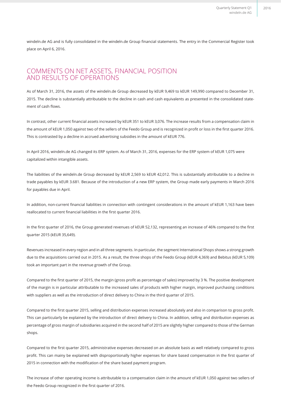windeln.de AG and is fully consolidated in the windeln.de Group financial statements. The entry in the Commercial Register took place on April 6, 2016.

### COMMENTS ON NET ASSETS, FINANCIAL POSITION AND RESULTS OF OPERATIONS

As of March 31, 2016, the assets of the windeln.de Group decreased by kEUR 9,469 to kEUR 149,990 compared to December 31, 2015. The decline is substantially attributable to the decline in cash and cash equivalents as presented in the consolidated statement of cash flows.

In contrast, other current financial assets increased by kEUR 351 to kEUR 3,076. The increase results from a compensation claim in the amount of kEUR 1,050 against two of the sellers of the Feedo Group and is recognized in profit or loss in the first quarter 2016. This is contrasted by a decline in accrued advertising subsidies in the amount of kEUR 776.

In April 2016, windeln.de AG changed its ERP system. As of March 31, 2016, expenses for the ERP system of kEUR 1,075 were capitalized within intangible assets.

The liabilities of the windeln.de Group decreased by kEUR 2,569 to kEUR 42,012. This is substantially attributable to a decline in trade payables by kEUR 3.681. Because of the introduction of a new ERP system, the Group made early payments in March 2016 for payables due in April.

In addition, non-current financial liabilities in connection with contingent considerations in the amount of kEUR 1,163 have been reallocated to current financial liabilities in the first quarter 2016.

In the first quarter of 2016, the Group generated revenues of kEUR 52,132, representing an increase of 46% compared to the first quarter 2015 (kEUR 35,649).

Revenues increased in every region and in all three segments. In particular, the segment International Shops shows a strong growth due to the acquisitions carried out in 2015. As a result, the three shops of the Feedo Group (kEUR 4,369) and Bebitus (kEUR 5,109) took an important part in the revenue growth of the Group.

Compared to the first quarter of 2015, the margin (gross profit as percentage of sales) improved by 3 %. The positive development of the margin is in particular attributable to the increased sales of products with higher margin, improved purchasing conditions with suppliers as well as the introduction of direct delivery to China in the third quarter of 2015.

Compared to the first quarter 2015, selling and distribution expenses increased absolutely and also in comparison to gross profit. This can particularly be explained by the introduction of direct delivery to China. In addition, selling and distribution expenses as percentage of gross margin of subsidiaries acquired in the second half of 2015 are slightly higher compared to those of the German shops.

Compared to the first quarter 2015, administrative expenses decreased on an absolute basis as well relatively compared to gross profit. This can mainy be explained with disproportionally higher expenses for share based compensation in the first quarter of 2015 in connection with the modification of the share based payment program.

The increase of other operating income is attributable to a compensation claim in the amount of kEUR 1,050 against two sellers of the Feedo Group recognized in the first quarter of 2016.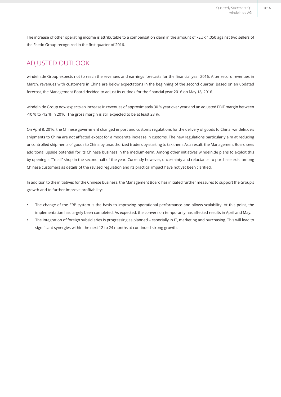The increase of other operating income is attributable to a compensation claim in the amount of kEUR 1,050 against two sellers of the Feedo Group recognized in the first quarter of 2016.

### ADJUSTED OUTLOOK

windeln.de Group expects not to reach the revenues and earnings forecasts for the financial year 2016. After record revenues in March, revenues with customers in China are below expectations in the beginning of the second quarter. Based on an updated forecast, the Management Board decided to adjust its outlook for the financial year 2016 on May 18, 2016.

windeln.de Group now expects an increase in revenues of approximately 30 % year over year and an adjusted EBIT margin between -10 % to -12 % in 2016. The gross margin is still expected to be at least 28 %.

On April 8, 2016, the Chinese government changed import and customs regulations for the delivery of goods to China. windeln.de's shipments to China are not affected except for a moderate increase in customs. The new regulations particularly aim at reducing uncontrolled shipments of goods to China by unauthorized traders by starting to tax them. As a result, the Management Board sees additional upside potential for its Chinese business in the medium-term. Among other initiatives windeln.de plans to exploit this by opening a "Tmall" shop in the second half of the year. Currently however, uncertainty and reluctance to purchase exist among Chinese customers as details of the revised regulation and its practical impact have not yet been clarified.

In addition to the initiatives for the Chinese business, the Management Board has initiated further measures to support the Group's growth and to further improve profitability:

- The change of the ERP system is the basis to improving operational performance and allows scalability. At this point, the implementation has largely been completed. As expected, the conversion temporarily has affected results in April and May.
- The integration of foreign subsidiaries is progressing as planned especially in IT, marketing and purchasing. This will lead to significant synergies within the next 12 to 24 months at continued strong growth.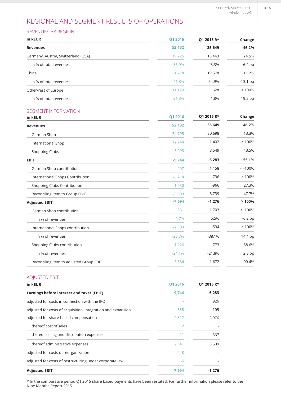## REGIONAL AND SEGMENT RESULTS OF OPERATIONS

REVENUES BY REGION

| in kEUR                             | Q1 2016 | Q1 2015 R* | Change     |
|-------------------------------------|---------|------------|------------|
| <b>Revenues</b>                     | 52,132  | 35,649     | 46.2%      |
| Germany, Austria, Switzerland (GSA) | 19,225  | 15,443     | 24.5%      |
| in % of total revenues              | 36.9%   | 43.3%      | $-6.4$ pp  |
| China                               | 21,778  | 19,578     | 11.2%      |
| in % of total revenues              | 41.8%   | 54.9%      | $-13.1$ pp |
| Other/rest of Europe                | 11,129  | 628        | >100%      |
| in % of total revenues              | 21.3%   | 1.8%       | 19.5 pp    |

#### SEGMENT INFORMATION

| in kEUR                                 | Q1 2016  | Q1 2015 R* | Change    |
|-----------------------------------------|----------|------------|-----------|
| <b>Revenues</b>                         | 52,132   | 35,649     | 46.2%     |
| German Shop                             | 34,795   | 30,698     | 13.3%     |
| International Shop                      | 12,244   | 1,402      | >100%     |
| <b>Shopping Clubs</b>                   | 5,093    | 3,549      | 43.5%     |
| <b>EBIT</b>                             | $-9,744$ | $-6,283$   | 55.1%     |
| German Shop contribution                | $-297$   | 1,158      | $< -100%$ |
| International Shops Contribution        | $-5,214$ | $-736$     | >100%     |
| Shopping Clubs Contribution             | $-1,230$ | $-966$     | 27.3%     |
| Reconciling item to Group EBIT          | $-3,003$ | $-5,739$   | $-47.7%$  |
| <b>Adjusted EBIT</b>                    | $-7,694$ | $-1,276$   | >100%     |
| German Shop contribution                | $-231$   | 1,703      | $< -100%$ |
| in % of revenues                        | $-0.7%$  | 5.5%       | $-6.2$ pp |
| International Shops contribution        | $-2,903$ | $-534$     | >100%     |
| in % of revenues                        | $-23.7%$ | $-38,1%$   | 14.4 pp   |
| Shopping Clubs contribution             | $-1,226$ | $-773$     | 58.6%     |
| in % of revenues                        | $-24.1%$ | $-21.8%$   | $2.3$ pp  |
| Reconciling item to adjusted Group EBIT | $-3,334$ | $-1,672$   | 99.4%     |

#### ADJUSTED EBIT

| in kEUR                                                      | O1 2016        | Q1 2015 R* |
|--------------------------------------------------------------|----------------|------------|
| Earnings before interest and taxes (EBIT)                    | $-9,744$       | $-6,283$   |
| adjusted for costs in connection with the IPO                |                | 926        |
| adjusted for costs of acquisition, integration and expansion | $-585$         | 105        |
| adjusted for share-based compensation                        | 2,322          | 3,976      |
| thereof cost of sales                                        | $\overline{2}$ |            |
| thereof selling and distribution expenses                    | $-21$          | 367        |
| thereof administrative expenses                              | 2,341          | 3,609      |
| adjusted for costs of reorganization                         | 248            |            |
| adjusted for costs of restructuring under corporate law      | 65             |            |
| <b>Adjusted EBIT</b>                                         | $-7.694$       | $-1.276$   |

\* In the comparative period Q1 2015 share based payments have been restated. For further information please refer to the Nine Months Report 2015.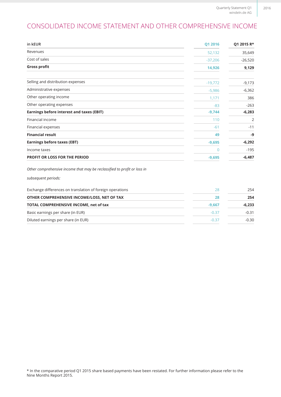### CONSOLIDATED INCOME STATEMENT AND OTHER COMPREHENSIVE INCOME

| in kEUR                                          | Q1 2016   | Q1 2015 R*     |
|--------------------------------------------------|-----------|----------------|
| Revenues                                         | 52,132    | 35,649         |
| Cost of sales                                    | $-37,206$ | $-26,520$      |
| <b>Gross profit</b>                              | 14,926    | 9,129          |
| Selling and distribution expenses                | $-19,772$ | $-9,173$       |
| Administrative expenses                          | $-5,986$  | $-6,362$       |
| Other operating income                           | 1,171     | 386            |
| Other operating expenses                         | $-83$     | $-263$         |
| <b>Earnings before interest and taxes (EBIT)</b> | $-9,744$  | $-6,283$       |
| Financial income                                 | 110       | $\overline{2}$ |
| Financial expenses                               | $-61$     | $-11$          |
| <b>Financial result</b>                          | 49        | -9             |
| <b>Earnings before taxes (EBT)</b>               | $-9,695$  | $-6,292$       |
| Income taxes                                     | O         | $-195$         |
| PROFIT OR LOSS FOR THE PERIOD                    | $-9,695$  | $-6,487$       |

*Other comprehensive income that may be reclassified to profit or loss in* 

*subsequent periods:*

| Exchange differences on translation of foreign operations | 28       | 254      |
|-----------------------------------------------------------|----------|----------|
| OTHER COMPREHENSIVE INCOME/LOSS, NET OF TAX               | 28       | 254      |
| TOTAL COMPREHENSIVE INCOME, net of tax                    | $-9.667$ | $-6,233$ |
| Basic earnings per share (in EUR)                         | $-0.37$  | $-0.31$  |
| Diluted earnings per share (in EUR)                       | $-0.37$  | -0.30    |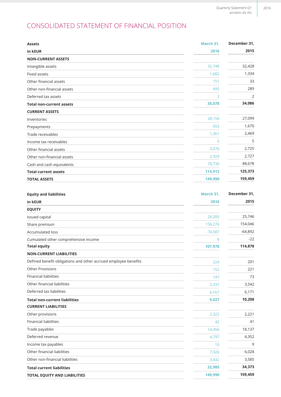# CONSOLIDATED STATEMENT OF FINANCIAL POSITION

| <b>Assets</b>                                                   | March 31, | December 31,   |
|-----------------------------------------------------------------|-----------|----------------|
| in kEUR                                                         | 2016      | 2015           |
| <b>NON-CURRENT ASSETS</b>                                       |           |                |
| Intangible assets                                               | 32,748    | 32,428         |
| <b>Fixed assets</b>                                             | 1,682     | 1,334          |
| Other financial assets                                          | 151       | 33             |
| Other non-financial assets                                      | 495       | 289            |
| Deferred tax assets                                             | 2         | $\overline{2}$ |
| <b>Total non-current assets</b>                                 | 35,078    | 34,086         |
| <b>CURRENT ASSETS</b>                                           |           |                |
| Inventories                                                     | 28,158    | 27,099         |
| Prepayments                                                     | 653       | 1,670          |
| Trade receivables                                               | 1,361     | 2,469          |
| Income tax receivables                                          | 5         | 5              |
| Other financial assets                                          | 3,076     | 2,725          |
| Other non-financial assets                                      | 2,929     | 2,727          |
| Cash and cash equivalents                                       | 78,730    | 88,678         |
| <b>Total current assets</b>                                     | 114,912   | 125,373        |
| <b>TOTAL ASSETS</b>                                             | 149,990   | 159,459        |
|                                                                 |           |                |
| <b>Equity and liabilities</b>                                   | March 31, | December 31,   |
| in kEUR                                                         | 2016      | 2015           |
| <b>EQUITY</b>                                                   |           |                |
| Issued capital                                                  | 26,283    | 25,746         |
| Share premium                                                   | 156,276   | 154,046        |
| <b>Accumulated loss</b>                                         | $-74,587$ | $-64,892$      |
| Cumulated other comprehensive income                            | 6         | $-22$          |
| <b>Total equity</b>                                             | 107,978   | 114,878        |
| <b>NON-CURRENT LIABILITIES</b>                                  |           |                |
| Defined benefit obligations and other accrued employee benefits | 224       | 201            |
| <b>Other Provisions</b>                                         | 152       | 221            |
| <b>Financial liabilities</b>                                    | 147       | 73             |
| Other financial liabilities                                     | 2,337     | 3,542          |
| Deferred tax liabilities                                        | 6,167     | 6,171          |
| <b>Total non-current liabilities</b>                            | 9,027     | 10,208         |
| <b>CURRENT LIABILITIES</b>                                      |           |                |
| Other provisions                                                | 2,322     | 2,221          |
| <b>Financial liabilities</b>                                    | 42        | 41             |
| Trade payables                                                  | 14,456    | 18,137         |
| Deferred revenue                                                | 4,797     | 4,352          |
| Income tax payables                                             | 10        | 9              |
| Other financial liabilities                                     | 7,926     | 6,028          |
| Other non-financial liabilities                                 | 3,432     | 3,585          |
| <b>Total current liabilities</b>                                | 32,985    | 34,373         |
| TOTAL EQUITY AND LIABILITIES                                    | 149,990   | 159,459        |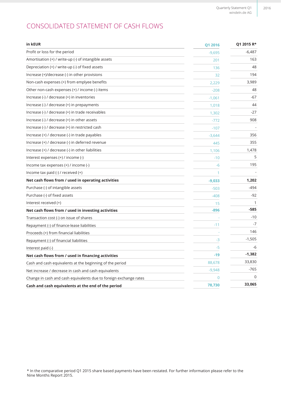# CONSOLIDATED STATEMENT OF CASH FLOWS

| in kEUR                                                           | Q1 2016        | Q1 2015 R*     |
|-------------------------------------------------------------------|----------------|----------------|
| Profit or loss for the period                                     | $-9,695$       | $-6,487$       |
| Amortisation (+) / write-up (-) of intangible assets              | 201            | 163            |
| Depreciation (+) / write-up (-) of fixed assets                   | 136            | 48             |
| Increase (+)/decrease (-) in other provisions                     | 32             | 194            |
| Non-cash expenses (+) from emplyee benefits                       | 2,229          | 3,989          |
| Other non-cash expenses (+) / income (-) items                    | $-208$         | 48             |
| Increase (-) / decrease (+) in inventories                        | $-1,061$       | -67            |
| Increase (-) / decrease (+) in prepayments                        | 1,018          | 44             |
| Increase (-) / decrease (+) in trade receivables                  | 1,302          | $-27$          |
| Increase (-) / decrease (+) in other assets                       | $-772$         | 908            |
| Increase (-) / decrease (+) in restricted cash                    | $-107$         |                |
| Increase (+) / decrease (-) in trade payables                     | $-3,644$       | 356            |
| Increase (+) / decrease (-) in deferred revenue                   | 445            | 355            |
| Increase (+) / decrease (-) in other liabilities                  | 1,106          | 1,478          |
| Interest expenses (+) / income (-)                                | $-10$          | 5              |
| Income tax expenses (+) / income (-)                              | -6             | 195            |
| Income tax paid $(\cdot)$ / received $(\cdot)$                    | 1              |                |
| Net cash flows from / used in operating activities                | $-9,033$       | 1,202          |
| Purchase (-) of intangible assets                                 | $-503$         | $-494$         |
| Purchase (-) of fixed assets                                      | $-408$         | $-92$          |
| Interest received (+)                                             | 15             | 1              |
| Net cash flows from / used in investing activities                | $-896$         | $-585$         |
| Transaction cost (-) on issue of shares                           |                | $-10$          |
| Repayment (-) of finance-lease liabilities                        | $-11$          | $-7$           |
| Proceeds (+) from financial liabilities                           |                | 146            |
| Repayment (-) of financial liabilities                            | -3             | $-1,505$       |
| Interest paid (-)                                                 | -5             | -6             |
| Net cash flows from / used in financing activities                | -19            | $-1,382$       |
| Cash and cash equivalents at the beginning of the period          | 88,678         | 33,830         |
| Net increase / decrease in cash and cash equivalents              | $-9,948$       | $-765$         |
| Change in cash and cash equivalents due to foreign exchange rates | $\overline{0}$ | $\overline{0}$ |
| Cash and cash equivalents at the end of the period                | 78,730         | 33,065         |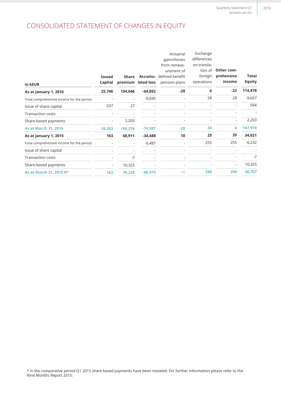# CONSOLIDATED STATEMENT OF CHANGES IN EQUITY

|                                           |               |              |                    | Actuarial       | Exchange    |            |               |
|-------------------------------------------|---------------|--------------|--------------------|-----------------|-------------|------------|---------------|
|                                           |               |              |                    | gains/losses    | differences |            |               |
|                                           |               |              |                    | from remeas-    | on transla- |            |               |
|                                           |               |              |                    | urement of      | tion of     | Other com- |               |
|                                           | <b>Issued</b> | <b>Share</b> | Accumu-            | defined benefit | foreign     | prehensive | Total         |
| in kEUR                                   | Capital       |              | premium lated loss | pension plans   | operations  | income     | <b>Equity</b> |
| As at January 1, 2016                     | 25,746        | 154,046      | $-64,892$          | $-28$           | 6           | $-22$      | 114,878       |
| Total comprehensive income for the period |               |              | $-9,695$           |                 | 28          | 28         | $-9,667$      |
| Issue of share capital                    | 537           | 27           |                    |                 |             |            | 564           |
| <b>Transaction costs</b>                  |               |              |                    |                 |             |            |               |
| Share-based payments                      |               | 2,203        |                    |                 |             |            | 2,203         |
| <b>As at March 31, 2016</b>               | 26,283        | 156,276      | $-74,587$          | $-28$           | 34          | 6          | 107,978       |
| As at January 1, 2015                     | 163           | 68,911       | $-34,488$          | 10              | 25          | 35         | 34,621        |
| Total comprehensive income for the period |               |              | $-6,487$           |                 | 255         | 255        | $-6,232$      |
| Issue of share capital                    |               |              |                    |                 |             |            |               |
| <b>Transaction costs</b>                  |               | $-7$         |                    |                 |             |            | $-7$          |
| Share-based payments                      |               | 10,325       |                    |                 |             | ٠          | 10,325        |
| As at March 31, 2015 R*                   | 163           | 79,229       | $-40,975$          | 10              | 280         | 290        | 38,707        |

windeln.de AG Quarterly Statement Q1